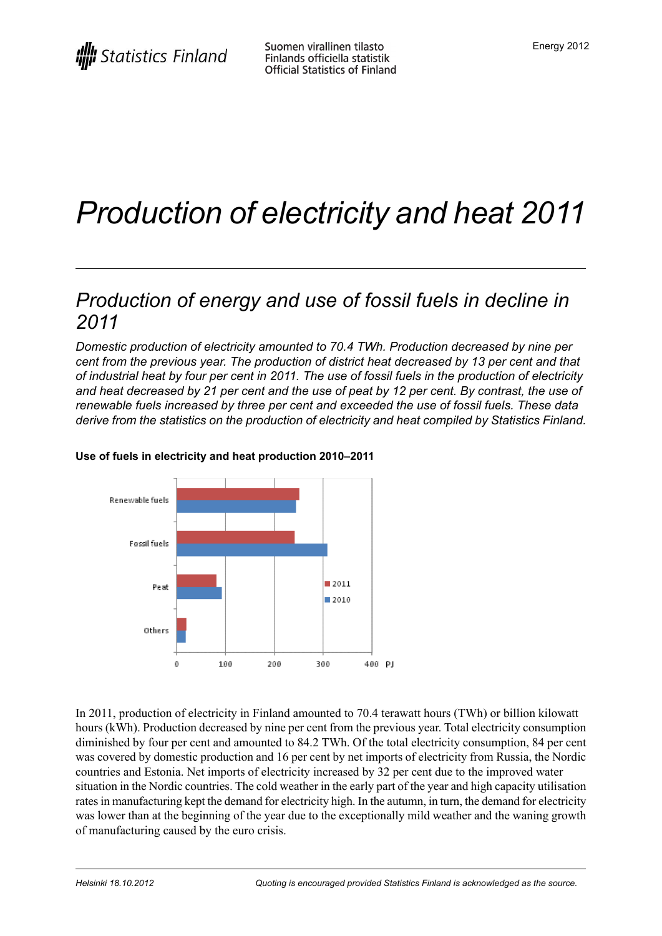# *Production of electricity and heat 2011*

## *Production of energy and use of fossil fuels in decline in 2011*

*Domestic production of electricity amounted to 70.4 TWh. Production decreased by nine per cent from the previous year. The production of district heat decreased by 13 per cent and that* of industrial heat by four per cent in 2011. The use of fossil fuels in the production of electricity and heat decreased by 21 per cent and the use of peat by 12 per cent. By contrast, the use of *renewable fuels increased by three per cent and exceeded the use of fossil fuels. These data derive from the statistics on the production of electricity and heat compiled by Statistics Finland.*



#### **Use of fuels in electricity and heat production 2010–2011**

In 2011, production of electricity in Finland amounted to 70.4 terawatt hours (TWh) or billion kilowatt hours (kWh). Production decreased by nine per cent from the previous year. Total electricity consumption diminished by four per cent and amounted to 84.2 TWh. Of the total electricity consumption, 84 per cent was covered by domestic production and 16 per cent by net imports of electricity from Russia, the Nordic countries and Estonia. Net imports of electricity increased by 32 per cent due to the improved water situation in the Nordic countries. The cold weather in the early part of the year and high capacity utilisation rates in manufacturing kept the demand for electricity high. In the autumn, in turn, the demand for electricity was lower than at the beginning of the year due to the exceptionally mild weather and the waning growth of manufacturing caused by the euro crisis.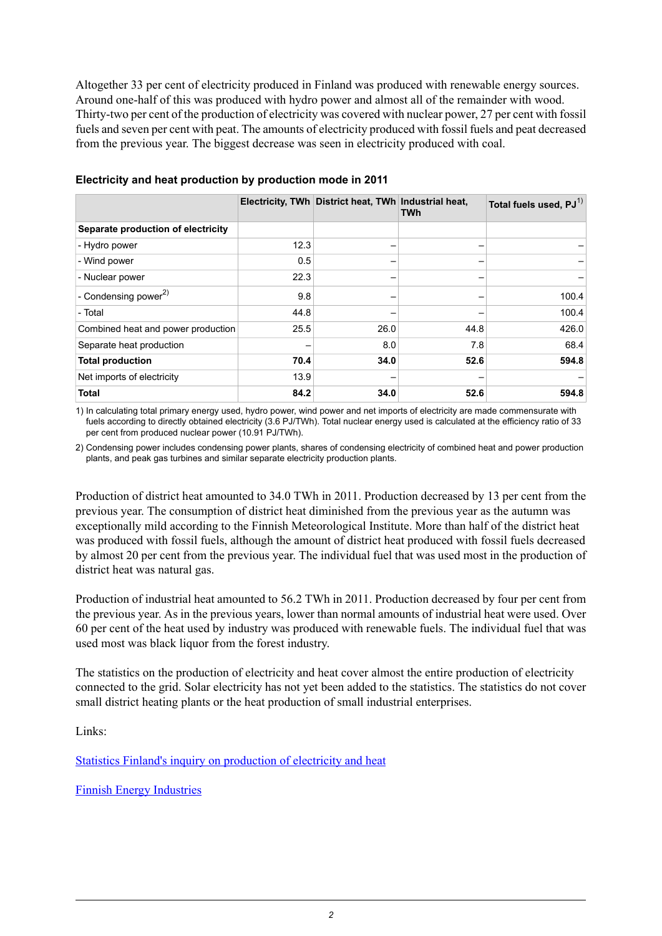Altogether 33 per cent of electricity produced in Finland was produced with renewable energy sources. Around one-half of this was produced with hydro power and almost all of the remainder with wood. Thirty-two per cent of the production of electricity was covered with nuclear power, 27 per cent with fossil fuels and seven per cent with peat. The amounts of electricity produced with fossil fuels and peat decreased from the previous year. The biggest decrease was seen in electricity produced with coal.

|                                    |      | Electricity, TWh District heat, TWh Industrial heat, | <b>TWh</b> | Total fuels used, PJ <sup>1)</sup> |
|------------------------------------|------|------------------------------------------------------|------------|------------------------------------|
| Separate production of electricity |      |                                                      |            |                                    |
| - Hydro power                      | 12.3 |                                                      |            |                                    |
| - Wind power                       | 0.5  | -                                                    |            |                                    |
| - Nuclear power                    | 22.3 |                                                      |            |                                    |
| - Condensing power $^{2)}$         | 9.8  | -                                                    |            | 100.4                              |
| - Total                            | 44.8 |                                                      |            | 100.4                              |
| Combined heat and power production | 25.5 | 26.0                                                 | 44.8       | 426.0                              |
| Separate heat production           |      | 8.0                                                  | 7.8        | 68.4                               |
| <b>Total production</b>            | 70.4 | 34.0                                                 | 52.6       | 594.8                              |
| Net imports of electricity         | 13.9 |                                                      |            |                                    |
| <b>Total</b>                       | 84.2 | 34.0                                                 | 52.6       | 594.8                              |

#### **Electricity and heat production by production mode in 2011**

1) In calculating total primary energy used, hydro power, wind power and net imports of electricity are made commensurate with fuels according to directly obtained electricity (3.6 PJ/TWh). Total nuclear energy used is calculated at the efficiency ratio of 33 per cent from produced nuclear power (10.91 PJ/TWh).

2) Condensing power includes condensing power plants, shares of condensing electricity of combined heat and power production plants, and peak gas turbines and similar separate electricity production plants.

Production of district heat amounted to 34.0 TWh in 2011. Production decreased by 13 per cent from the previous year. The consumption of district heat diminished from the previous year as the autumn was exceptionally mild according to the Finnish Meteorological Institute. More than half of the district heat was produced with fossil fuels, although the amount of district heat produced with fossil fuels decreased by almost 20 per cent from the previous year. The individual fuel that was used most in the production of district heat was natural gas.

Production of industrial heat amounted to 56.2 TWh in 2011. Production decreased by four per cent from the previous year. As in the previous years, lower than normal amounts of industrial heat were used. Over 60 per cent of the heat used by industry was produced with renewable fuels. The individual fuel that was used most was black liquor from the forest industry.

The statistics on the production of electricity and heat cover almost the entire production of electricity connected to the grid. Solar electricity has not yet been added to the statistics. The statistics do not cover small district heating plants or the heat production of small industrial enterprises.

Links:

Statistics Finland's inquiry on [production](http://tilastokeskus.fi/keruu/ene/index_en.html) of electricity and heat

Finnish Energy [Industries](http://www.energia.fi/en/statistics-and-publications/electricity-statistics)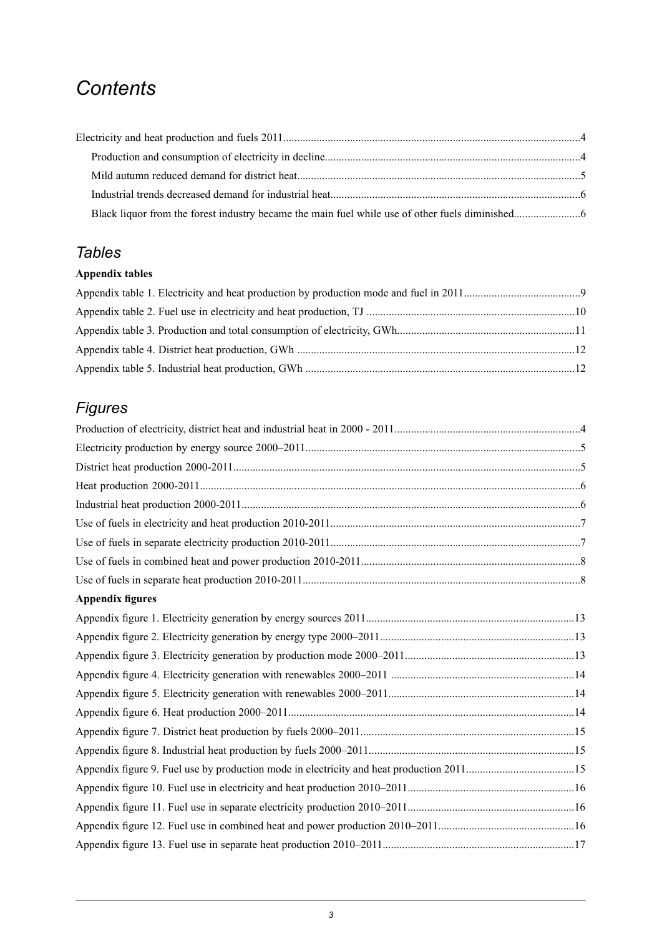## *Contents*

## *Tables*

### **Appendix tables**

## *Figures*

| <b>Appendix figures</b> |  |
|-------------------------|--|
|                         |  |
|                         |  |
|                         |  |
|                         |  |
|                         |  |
|                         |  |
|                         |  |
|                         |  |
|                         |  |
|                         |  |
|                         |  |
|                         |  |
|                         |  |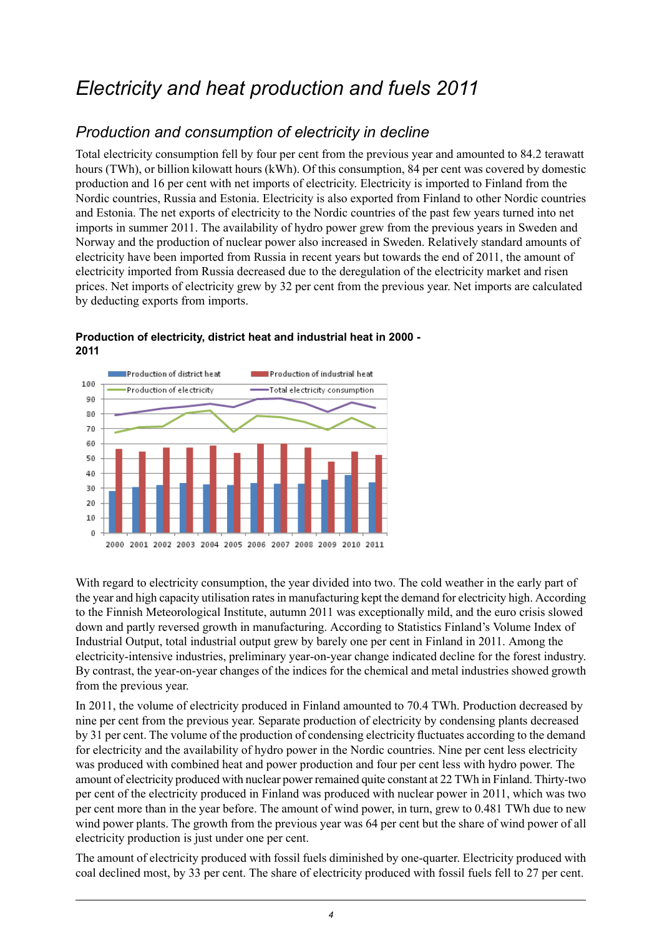## <span id="page-3-0"></span>*Electricity and heat production and fuels 2011*

## <span id="page-3-1"></span>*Production and consumption of electricity in decline*

Total electricity consumption fell by four per cent from the previous year and amounted to 84.2 terawatt hours (TWh), or billion kilowatt hours (kWh). Of this consumption, 84 per cent was covered by domestic production and 16 per cent with net imports of electricity. Electricity is imported to Finland from the Nordic countries, Russia and Estonia. Electricity is also exported from Finland to other Nordic countries and Estonia. The net exports of electricity to the Nordic countries of the past few years turned into net imports in summer 2011. The availability of hydro power grew from the previous years in Sweden and Norway and the production of nuclear power also increased in Sweden. Relatively standard amounts of electricity have been imported from Russia in recent years but towards the end of 2011, the amount of electricity imported from Russia decreased due to the deregulation of the electricity market and risen prices. Net imports of electricity grew by 32 per cent from the previous year. Net imports are calculated by deducting exports from imports.



<span id="page-3-2"></span>**Production of electricity, district heat and industrial heat in 2000 - 2011**

With regard to electricity consumption, the year divided into two. The cold weather in the early part of the year and high capacity utilisation rates in manufacturing kept the demand for electricity high. According to the Finnish Meteorological Institute, autumn 2011 was exceptionally mild, and the euro crisis slowed down and partly reversed growth in manufacturing. According to Statistics Finland's Volume Index of Industrial Output, total industrial output grew by barely one per cent in Finland in 2011. Among the electricity-intensive industries, preliminary year-on-year change indicated decline for the forest industry. By contrast, the year-on-year changes of the indices for the chemical and metal industries showed growth from the previous year.

In 2011, the volume of electricity produced in Finland amounted to 70.4 TWh. Production decreased by nine per cent from the previous year. Separate production of electricity by condensing plants decreased by 31 per cent. The volume of the production of condensing electricity fluctuates according to the demand for electricity and the availability of hydro power in the Nordic countries. Nine per cent less electricity was produced with combined heat and power production and four per cent less with hydro power. The amount of electricity produced with nuclear power remained quite constant at 22 TWh in Finland. Thirty-two per cent of the electricity produced in Finland was produced with nuclear power in 2011, which was two per cent more than in the year before. The amount of wind power, in turn, grew to 0.481 TWh due to new wind power plants. The growth from the previous year was 64 per cent but the share of wind power of all electricity production is just under one per cent.

The amount of electricity produced with fossil fuels diminished by one-quarter. Electricity produced with coal declined most, by 33 per cent. The share of electricity produced with fossil fuels fell to 27 per cent.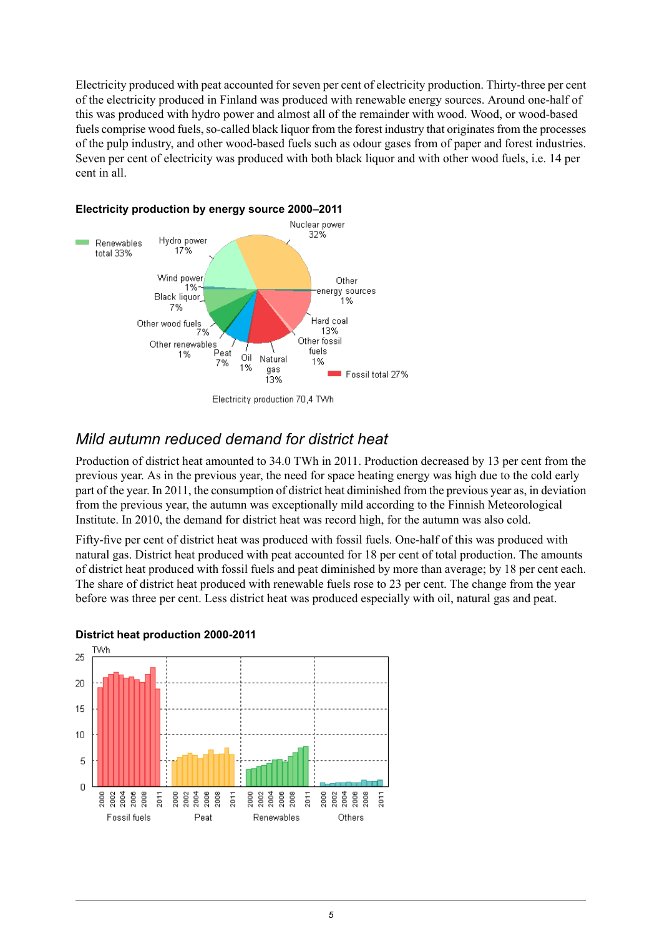Electricity produced with peat accounted for seven per cent of electricity production. Thirty-three per cent of the electricity produced in Finland was produced with renewable energy sources. Around one-half of this was produced with hydro power and almost all of the remainder with wood. Wood, or wood-based fuels comprise wood fuels, so-called black liquor from the forest industry that originates from the processes of the pulp industry, and other wood-based fuels such as odour gases from of paper and forest industries. Seven per cent of electricity was produced with both black liquor and with other wood fuels, i.e. 14 per cent in all.



## <span id="page-4-1"></span>**Electricity production by energy source 2000–2011**

## <span id="page-4-0"></span>*Mild autumn reduced demand for district heat*

Production of district heat amounted to 34.0 TWh in 2011. Production decreased by 13 per cent from the previous year. As in the previous year, the need for space heating energy was high due to the cold early part of the year. In 2011, the consumption of district heat diminished from the previous year as, in deviation from the previous year, the autumn was exceptionally mild according to the Finnish Meteorological Institute. In 2010, the demand for district heat was record high, for the autumn was also cold.

<span id="page-4-2"></span>Fifty-five per cent of district heat was produced with fossil fuels. One-half of this was produced with natural gas. District heat produced with peat accounted for 18 per cent of total production. The amounts of district heat produced with fossil fuels and peat diminished by more than average; by 18 per cent each. The share of district heat produced with renewable fuels rose to 23 per cent. The change from the year before was three per cent. Less district heat was produced especially with oil, natural gas and peat.



#### **District heat production 2000-2011**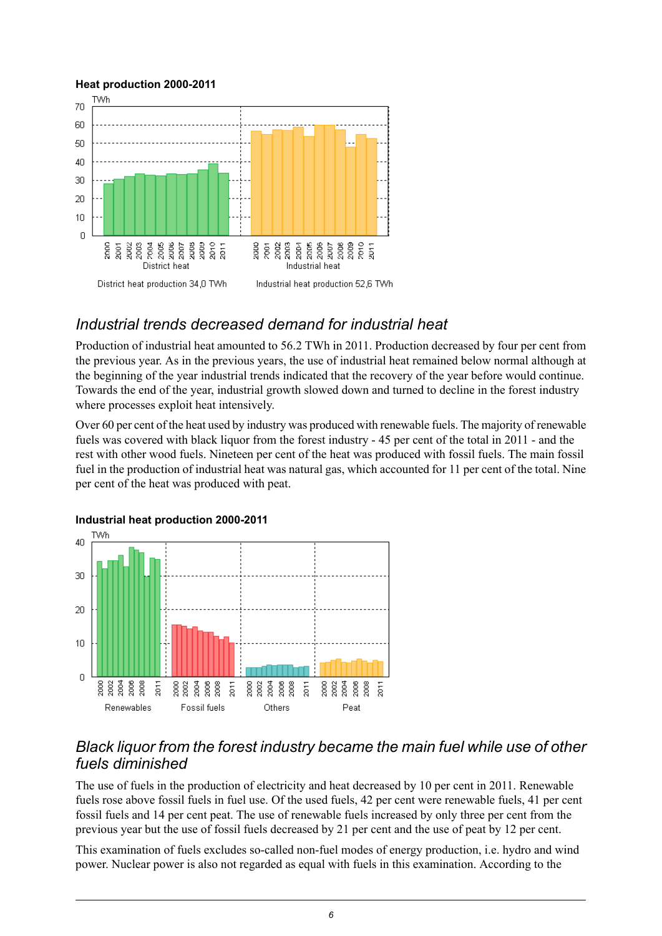#### <span id="page-5-2"></span>**Heat production 2000-2011**



## <span id="page-5-0"></span>*Industrial trends decreased demand for industrial heat*

Production of industrial heat amounted to 56.2 TWh in 2011. Production decreased by four per cent from the previous year. As in the previous years, the use of industrial heat remained below normal although at the beginning of the year industrial trends indicated that the recovery of the year before would continue. Towards the end of the year, industrial growth slowed down and turned to decline in the forest industry where processes exploit heat intensively.

<span id="page-5-3"></span>Over 60 per cent of the heat used by industry was produced with renewable fuels. The majority of renewable fuels was covered with black liquor from the forest industry - 45 per cent of the total in 2011 - and the rest with other wood fuels. Nineteen per cent of the heat was produced with fossil fuels. The main fossil fuel in the production of industrial heat was natural gas, which accounted for 11 per cent of the total. Nine per cent of the heat was produced with peat.



#### **Industrial heat production 2000-2011**

## <span id="page-5-1"></span>*Black liquor from the forest industry became the main fuel while use of other fuels diminished*

The use of fuels in the production of electricity and heat decreased by 10 per cent in 2011. Renewable fuels rose above fossil fuels in fuel use. Of the used fuels, 42 per cent were renewable fuels, 41 per cent fossil fuels and 14 per cent peat. The use of renewable fuels increased by only three per cent from the previous year but the use of fossil fuels decreased by 21 per cent and the use of peat by 12 per cent.

This examination of fuels excludes so-called non-fuel modes of energy production, i.e. hydro and wind power. Nuclear power is also not regarded as equal with fuels in this examination. According to the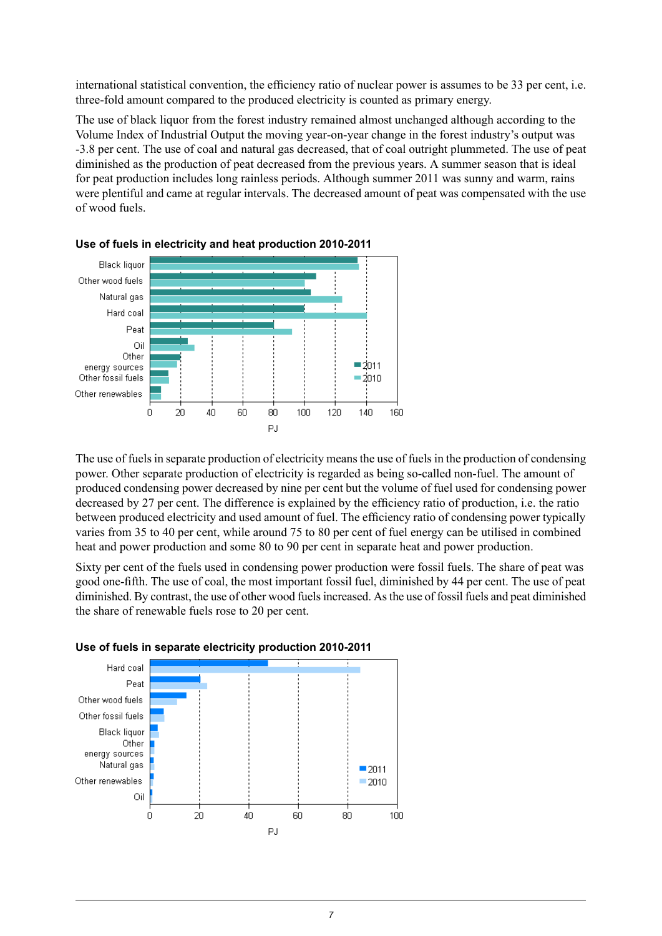international statistical convention, the efficiency ratio of nuclear power is assumes to be 33 per cent, i.e. three-fold amount compared to the produced electricity is counted as primary energy.

The use of black liquor from the forest industry remained almost unchanged although according to the Volume Index of Industrial Output the moving year-on-year change in the forest industry's output was -3.8 per cent. The use of coal and natural gas decreased, that of coal outright plummeted. The use of peat diminished as the production of peat decreased from the previous years. A summer season that is ideal for peat production includes long rainless periods. Although summer 2011 was sunny and warm, rains were plentiful and came at regular intervals. The decreased amount of peat was compensated with the use of wood fuels.



<span id="page-6-0"></span>

The use of fuels in separate production of electricity means the use of fuels in the production of condensing power. Other separate production of electricity is regarded as being so-called non-fuel. The amount of produced condensing power decreased by nine per cent but the volume of fuel used for condensing power decreased by 27 per cent. The difference is explained by the efficiency ratio of production, i.e. the ratio between produced electricity and used amount of fuel. The efficiency ratio of condensing power typically varies from 35 to 40 per cent, while around 75 to 80 per cent of fuel energy can be utilised in combined heat and power production and some 80 to 90 per cent in separate heat and power production.

<span id="page-6-1"></span>Sixty per cent of the fuels used in condensing power production were fossil fuels. The share of peat was good one-fifth. The use of coal, the most important fossil fuel, diminished by 44 per cent. The use of peat diminished. By contrast, the use of other wood fuelsincreased. Asthe use of fossil fuels and peat diminished the share of renewable fuels rose to 20 per cent.



#### **Use of fuels in separate electricity production 2010-2011**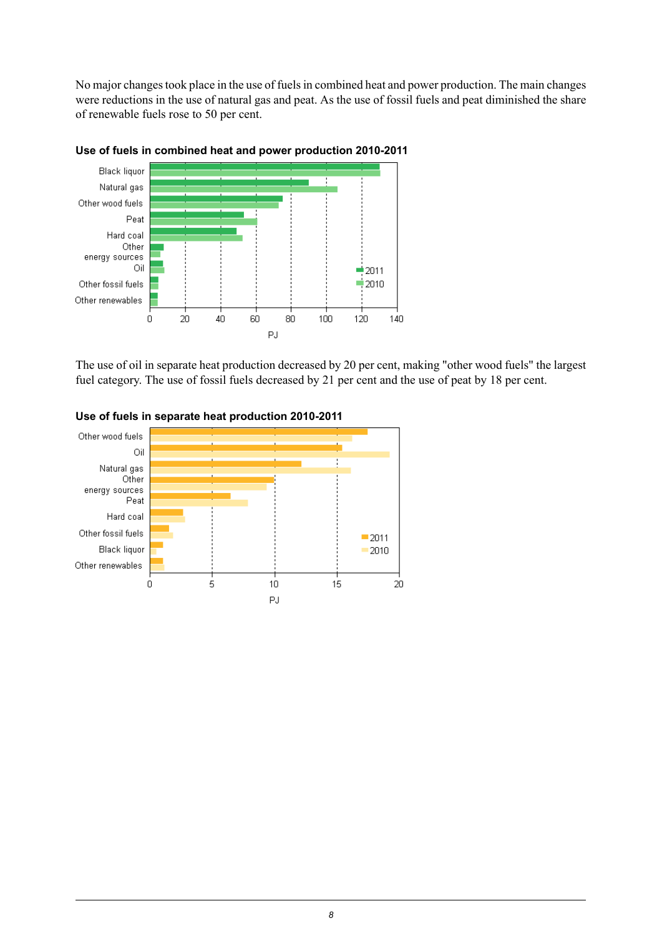No major changes took place in the use of fuels in combined heat and power production. The main changes were reductions in the use of natural gas and peat. As the use of fossil fuels and peat diminished the share of renewable fuels rose to 50 per cent.



#### <span id="page-7-0"></span>**Use of fuels in combined heat and power production 2010-2011**

<span id="page-7-1"></span>The use of oil in separate heat production decreased by 20 per cent, making "other wood fuels" the largest fuel category. The use of fossil fuels decreased by 21 per cent and the use of peat by 18 per cent.



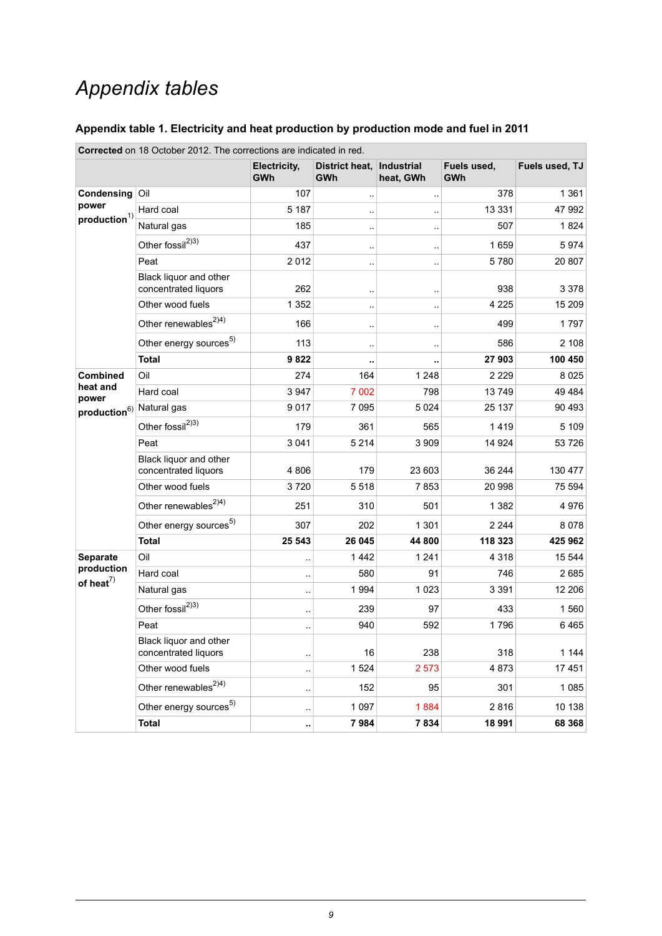## *Appendix tables*

### <span id="page-8-0"></span>**Appendix table 1. Electricity and heat production by production mode and fuel in 2011**

|                                                                                                                  | <b>Corrected</b> on 18 October 2012. The corrections are indicated in red. |                            |                              |                                |                           |                |
|------------------------------------------------------------------------------------------------------------------|----------------------------------------------------------------------------|----------------------------|------------------------------|--------------------------------|---------------------------|----------------|
|                                                                                                                  |                                                                            | Electricity,<br><b>GWh</b> | District heat,<br><b>GWh</b> | <b>Industrial</b><br>heat, GWh | Fuels used,<br><b>GWh</b> | Fuels used, TJ |
| Condensing                                                                                                       | Oil                                                                        | 107                        | $\ddotsc$                    | $\ddot{\phantom{1}}$           | 378                       | 1 3 6 1        |
| power<br>$\boldsymbol{production}^{1)}$<br>heat and<br>power<br><b>Separate</b><br>production<br>of heat $^{7)}$ | Hard coal                                                                  | 5 1 8 7                    | $\ddotsc$                    | $\ddotsc$                      | 13 3 3 1                  | 47 992         |
|                                                                                                                  | Natural gas                                                                | 185                        | $\ddotsc$                    | $\ddotsc$                      | 507                       | 1824           |
|                                                                                                                  | Other fossil <sup>2)3)</sup>                                               | 437                        | $\ddotsc$                    | $\ddotsc$                      | 1659                      | 5974           |
|                                                                                                                  | Peat                                                                       | 2012                       | $\ddot{\phantom{a}}$         | μ,                             | 5780                      | 20 807         |
|                                                                                                                  | Black liquor and other<br>concentrated liquors                             | 262                        | $\ddot{\phantom{a}}$         | $\ddot{\phantom{a}}$           | 938                       | 3 3 7 8        |
|                                                                                                                  | Other wood fuels                                                           | 1 3 5 2                    | $\ddotsc$                    | $\ddot{\phantom{a}}$           | 4 2 2 5                   | 15 209         |
|                                                                                                                  | Other renewables <sup>2)4)</sup>                                           | 166                        | à.                           | $\ddot{\phantom{0}}$           | 499                       | 1797           |
|                                                                                                                  | Other energy sources <sup>5)</sup>                                         | 113                        | à.                           | $\ddot{\phantom{a}}$           | 586                       | 2 108          |
|                                                                                                                  | <b>Total</b>                                                               | 9822                       | Ω.                           | .,                             | 27 903                    | 100 450        |
| <b>Combined</b>                                                                                                  | Oil                                                                        | 274                        | 164                          | 1 2 4 8                        | 2 2 2 9                   | 8025           |
| production <sup>6)</sup> Natural gas                                                                             | Hard coal                                                                  | 3947                       | 7 0 0 2                      | 798                            | 13749                     | 49 4 84        |
|                                                                                                                  |                                                                            | 9017                       | 7 0 9 5                      | 5024                           | 25 137                    | 90 493         |
|                                                                                                                  | Other fossil <sup>2)3)</sup>                                               | 179                        | 361                          | 565                            | 1419                      | 5 109          |
|                                                                                                                  | Peat                                                                       | 3 0 4 1                    | 5 2 1 4                      | 3 9 0 9                        | 14 9 24                   | 53726          |
|                                                                                                                  | Black liquor and other<br>concentrated liquors                             | 4806                       | 179                          | 23 603                         | 36 244                    | 130 477        |
|                                                                                                                  | Other wood fuels                                                           | 3720                       | 5518                         | 7853                           | 20 998                    | 75 594         |
|                                                                                                                  | Other renewables <sup>2)4)</sup>                                           | 251                        | 310                          | 501                            | 1 3 8 2                   | 4976           |
|                                                                                                                  | Other energy sources <sup>5)</sup>                                         | 307                        | 202                          | 1 3 0 1                        | 2 2 4 4                   | 8078           |
|                                                                                                                  | <b>Total</b>                                                               | 25 543                     | 26 045                       | 44 800                         | 118 323                   | 425 962        |
|                                                                                                                  | Oil                                                                        | $\ddot{\phantom{a}}$       | 1442                         | 1 2 4 1                        | 4 3 1 8                   | 15 544         |
|                                                                                                                  | Hard coal                                                                  | $\ddot{\phantom{a}}$       | 580                          | 91                             | 746                       | 2685           |
|                                                                                                                  | Natural gas                                                                |                            | 1994                         | 1 0 2 3                        | 3 3 9 1                   | 12 206         |
|                                                                                                                  | Other fossil <sup>2)3)</sup>                                               |                            | 239                          | 97                             | 433                       | 1560           |
|                                                                                                                  | Peat                                                                       | ä.                         | 940                          | 592                            | 1796                      | 6465           |
|                                                                                                                  | Black liquor and other<br>concentrated liquors                             | μ.                         | 16                           | 238                            | 318                       | 1 1 4 4        |
|                                                                                                                  | Other wood fuels                                                           | $\ddotsc$                  | 1524                         | 2 5 7 3                        | 4873                      | 17451          |
|                                                                                                                  | Other renewables <sup><math>2)4)</math></sup>                              | $\ddot{\phantom{a}}$       | 152                          | 95                             | 301                       | 1085           |
|                                                                                                                  | Other energy sources <sup>5)</sup>                                         | $\ddotsc$                  | 1 0 9 7                      | 1884                           | 2816                      | 10 138         |
|                                                                                                                  | <b>Total</b>                                                               |                            | 7984                         | 7834                           | 18 991                    | 68 368         |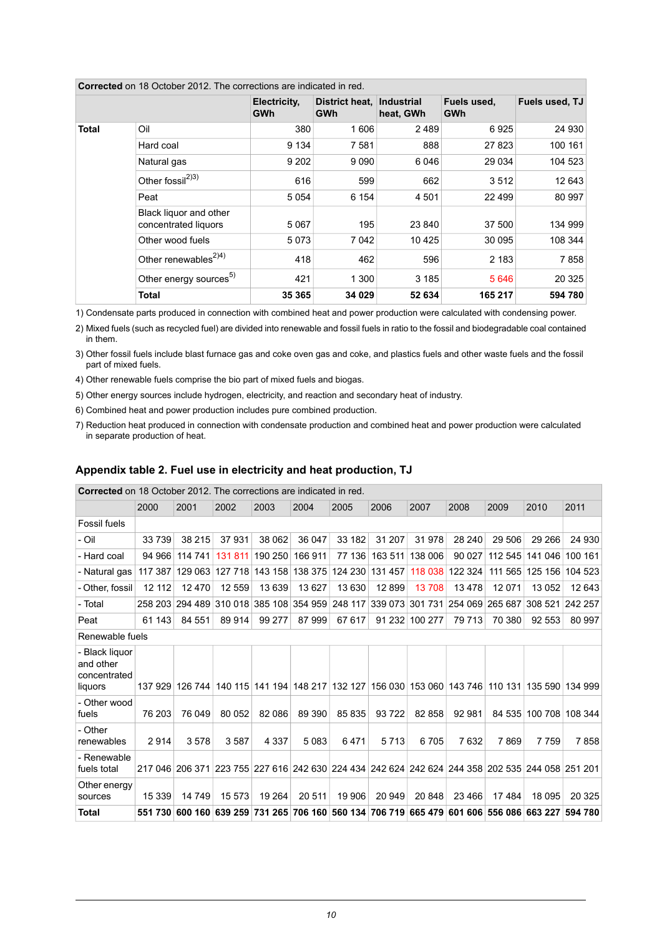|              |                                                | Electricity,<br><b>GWh</b> | District heat.<br>GWh | Industrial<br>heat, GWh | Fuels used,<br><b>GWh</b> | Fuels used, TJ |
|--------------|------------------------------------------------|----------------------------|-----------------------|-------------------------|---------------------------|----------------|
| <b>Total</b> | Oil                                            | 380                        | 1606                  | 2489                    | 6925                      | 24 930         |
|              | Hard coal                                      | 9 1 3 4                    | 7581                  | 888                     | 27823                     | 100 161        |
|              | Natural gas                                    | 9 2 0 2                    | 9090                  | 6 0 4 6                 | 29 0 34                   | 104 523        |
|              | Other fossil <sup>2)3)</sup>                   | 616                        | 599                   | 662                     | 3512                      | 12 643         |
|              | Peat                                           | 5054                       | 6 1 5 4               | 4 5 0 1                 | 22 4 9 9                  | 80 997         |
|              | Black liquor and other<br>concentrated liquors | 5067                       | 195                   | 23 840                  | 37 500                    | 134 999        |
|              | Other wood fuels                               | 5073                       | 7 0 4 2               | 10 4 25                 | 30 095                    | 108 344        |
|              | Other renewables <sup>2)4)</sup>               | 418                        | 462                   | 596                     | 2 1 8 3                   | 7858           |
|              | Other energy sources <sup>5)</sup>             | 421                        | 1 300                 | 3 1 8 5                 | 5646                      | 20 3 25        |
|              | <b>Total</b>                                   | 35 365                     | 34 0 29               | 52 634                  | 165 217                   | 594 780        |

**Corrected** on 18 October 2012. The corrections are indicated in red.

1) Condensate parts produced in connection with combined heat and power production were calculated with condensing power.

Mixed fuels (such as recycled fuel) are divided into renewable and fossil fuels in ratio to the fossil and biodegradable coal contained 2) in them.

Other fossil fuels include blast furnace gas and coke oven gas and coke, and plastics fuels and other waste fuels and the fossil 3) part of mixed fuels.

4) Other renewable fuels comprise the bio part of mixed fuels and biogas.

5) Other energy sources include hydrogen, electricity, and reaction and secondary heat of industry.

6) Combined heat and power production includes pure combined production.

<span id="page-9-0"></span>7) Reduction heat produced in connection with condensate production and combined heat and power production were calculated in separate production of heat.

#### **Appendix table 2. Fuel use in electricity and heat production, TJ**

**Corrected** on 18 October 2012. The corrections are indicated in red. 2000 2001 2002 2003 2004 2005 2006 2007 2008 2009 2010 2011 Fossil fuels - Oil 33 739 38 215 37 931 38 062 36 047 33 182 31 207 31 978 28 240 29 506 29 266 24 930 - Hard coal 94 966 114 741 131 811 190 250 166 911 77 136 163 511 138 006 90 027 112 545 141 046 100 161 - Natural gas 117 387 129 063 127 718 143 158 138 375 124 230 131 457 118 038 122 324 111 565 125 156 104 523 - Other, fossil | 12 112 | 12 470 | 12 559 | 13 639 | 13 627 | 13 630 | 12 899 | 13 708 | 13 478 | 12 071 | 13 052 | 12 643 - Total 258 203 294 489 310 018 385 108 354 959 248 117 339 073 301 731 254 069 265 687 308 521 242 257 Peat 61 143 84 551 89 914 99 277 87 999 67 617 91 232 100 277 79 713 70 380 92 553 80 997 Renewable fuels 137 929 126 744 140 115 141 194 148 217 132 127 156 030 153 060 143 746 110 131 135 590 134 999 - Black liquor and other concentrated liquors 76 203 76 049 80 052 82 086 89 390 85 835 93 722 82 858 92 981 84 535 100 708 108 344 - Other wood fuels 2 914 3 578 3 587 4 337 5 083 6 471 5 713 6 705 7 632 7 869 7 759 7 858 - Other renewables 217 046 206 371 223 755 227 616 242 630 224 434 242 624 242 624 244 358 202 535 244 058 251 201 - Renewable fuels total 15 339 14 749 15 573 19 264 20 511 19 906 20 949 20 848 23 466 17 484 18 095 20 325 Other energy sources Total 551 730 600 160 639 259 731 265 706 160 560 134 706 719 665 479 601 606 556 086 663 227 594 780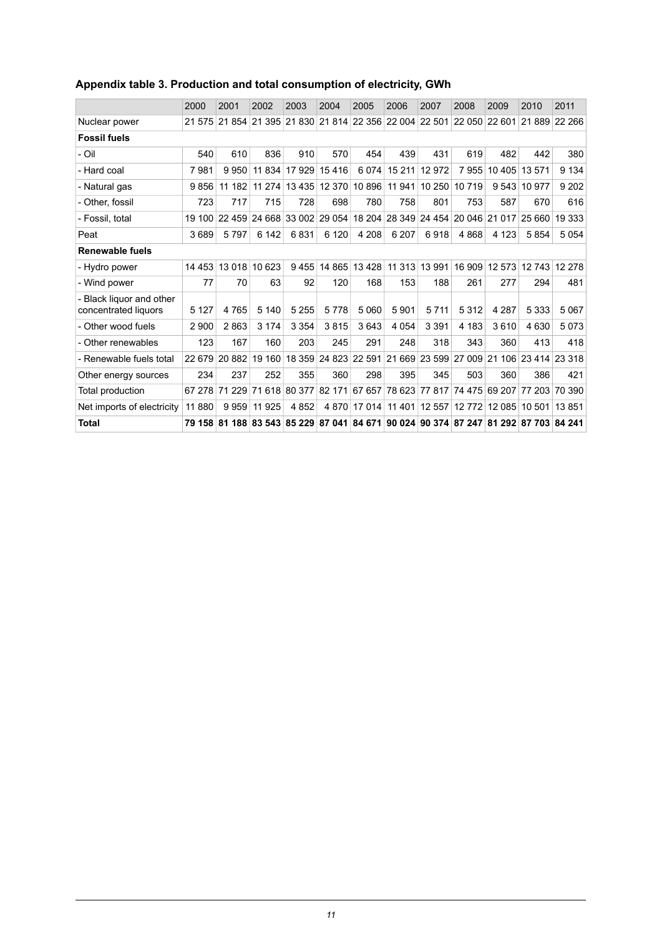|                                                | 2000    | 2001   | 2002                        | 2003          | 2004    | 2005          | 2006          | 2007                               | 2008                 | 2009                 | 2010          | 2011          |
|------------------------------------------------|---------|--------|-----------------------------|---------------|---------|---------------|---------------|------------------------------------|----------------------|----------------------|---------------|---------------|
| Nuclear power                                  | 21 575  |        | 21 854 21 395 21 830        |               |         |               |               | 21 814 22 356 22 004 22 501 22 050 |                      | 22 601               |               | 21 889 22 266 |
| <b>Fossil fuels</b>                            |         |        |                             |               |         |               |               |                                    |                      |                      |               |               |
| - Oil                                          | 540     | 610    | 836                         | 910           | 570     | 454           | 439           | 431                                | 619                  | 482                  | 442           | 380           |
| - Hard coal                                    | 7981    | 9950   | 11 834                      | 17 929        | 15416   | 6074          | 15 211        | 12 972                             | 7955                 | 10 4 05              | 13 571        | 9 1 3 4       |
| - Natural gas                                  | 9856    | 11 182 | 11274                       | 13 4 35       | 12 370  | 10 896        | 11 941        |                                    | 10 250 10 719        | 9543                 | 10 977        | 9 2 0 2       |
| - Other, fossil                                | 723     | 717    | 715                         | 728           | 698     | 780           | 758           | 801                                | 753                  | 587                  | 670           | 616           |
| - Fossil. total                                | 19 100  | 22 459 |                             | 24 668 33 002 | 29 054  | 18 204        | 28 349        |                                    | 24 454 20 046 21 017 |                      | 25 660        | 19 3 33       |
| Peat                                           | 3689    | 5797   | 6 142                       | 6831          | 6 1 2 0 | 4 208         | 6 20 7        | 6918                               | 4868                 | 4 1 2 3              | 5854          | 5054          |
| <b>Renewable fuels</b>                         |         |        |                             |               |         |               |               |                                    |                      |                      |               |               |
| - Hydro power                                  | 14 453  | 13 018 | 10 623                      | 9455          | 14 8 65 |               | 13 428 11 313 | 13 991                             | 16 909               | 12 573               |               | 12 743 12 278 |
| - Wind power                                   | 77      | 70     | 63                          | 92            | 120     | 168           | 153           | 188                                | 261                  | 277                  | 294           | 481           |
| Black liquor and other<br>concentrated liquors | 5 1 2 7 | 4765   | 5 1 4 0                     | 5 2 5 5       | 5778    | 5 0 6 0       | 5901          | 5 7 1 1                            | 5 3 1 2              | 4 2 8 7              | 5 3 3 3       | 5 0 6 7       |
| - Other wood fuels                             | 2 9 0 0 | 2863   | 3 1 7 4                     | 3 3 5 4       | 3815    | 3643          | 4 0 5 4       | 3 3 9 1                            | 4 183                | 3610                 | 4630          | 5073          |
| - Other renewables                             | 123     | 167    | 160                         | 203           | 245     | 291           | 248           | 318                                | 343                  | 360                  | 413           | 418           |
| - Renewable fuels total                        | 22 679  | 20 882 | 19 160                      | 18 359        |         | 24 823 22 591 | 21 669        |                                    | 23 599 27 009 21     | 106                  | 23 414 23 318 |               |
| Other energy sources                           | 234     | 237    | 252                         | 355           | 360     | 298           | 395           | 345                                | 503                  | 360                  | 386           | 421           |
| Total production                               | 67 278  | 71 229 |                             | 71 618 80 377 | 82 171  | 67 657 78 623 |               |                                    | 77 817 74 475        | 69 207               | 77 203 70 390 |               |
| Net imports of electricity                     | 11 880  | 9959   | 11 925                      | 4852          | 4 8 7 0 | 17 014        | 11 401        | 12 557                             | 12772                | 12 085               | 10 501        | 13851         |
| <b>Total</b>                                   | 79 158  |        | 81 188 83 543 85 229 87 041 |               |         | 84 671 90 024 |               |                                    | 90 374 87 247        | 81 292 87 703 84 241 |               |               |

## <span id="page-10-0"></span>**Appendix table 3. Production and total consumption of electricity, GWh**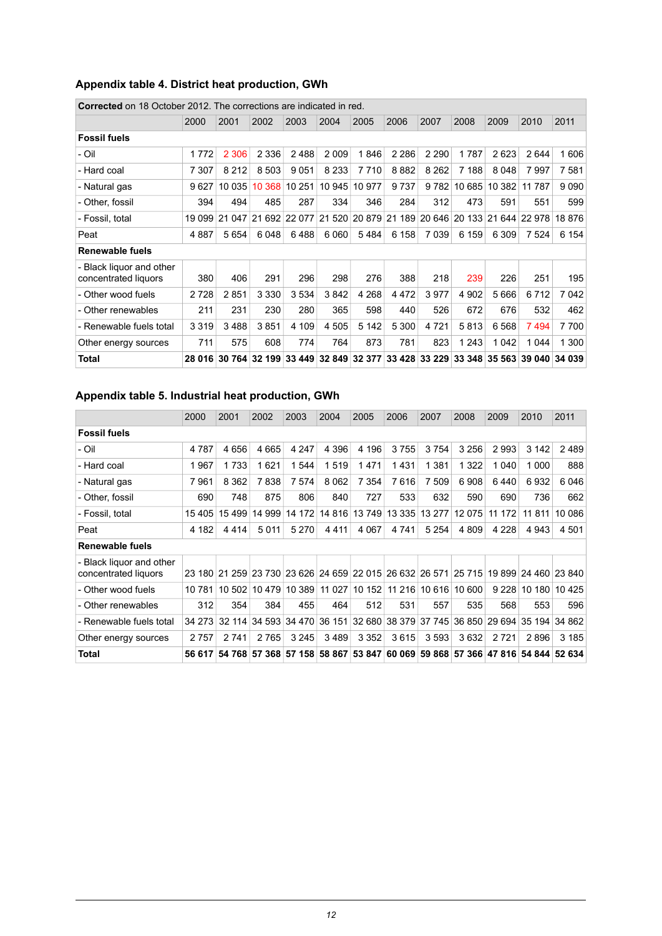## <span id="page-11-0"></span>**Appendix table 4. District heat production, GWh**

|                                                  | 2000    | 2001    | 2002          | 2003    | 2004    | 2005          | 2006                 | 2007    | 2008    | 2009                        | 2010   | 2011          |
|--------------------------------------------------|---------|---------|---------------|---------|---------|---------------|----------------------|---------|---------|-----------------------------|--------|---------------|
| <b>Fossil fuels</b>                              |         |         |               |         |         |               |                      |         |         |                             |        |               |
| - Oil                                            | 1 7 7 2 | 2 3 0 6 | 2 3 3 6       | 2488    | 2 0 0 9 | 1846          | 2 2 8 6              | 2 2 9 0 | 1787    | 2623                        | 2644   | 1606          |
| - Hard coal                                      | 7 3 0 7 | 8 2 1 2 | 8 5 0 3       | 9051    | 8 2 3 3 | 7 7 1 0       | 8882                 | 8 2 6 2 | 7 188   | 8 0 4 8                     | 7997   | 7581          |
| - Natural gas                                    | 9627    | 10035   | 10 368        | 10 251  | 10 945  | 10 977        | 9737                 | 9 7 8 2 | 10 685  | 10 382                      | 11 787 | 9090          |
| - Other, fossil                                  | 394     | 494     | 485           | 287     | 334     | 346           | 284                  | 312     | 473     | 591                         | 551    | 599           |
| - Fossil, total                                  | 19 099  | 21 047  | 21 692 22 077 |         |         |               | 21 520 20 879 21 189 |         |         | 20 646 20 133 21 644 22 978 |        | 18 876        |
| Peat                                             | 4887    | 5654    | 6048          | 6488    | 6 0 6 0 | 5484          | 6 158                | 7 0 3 9 | 6 159   | 6 309                       | 7 5 24 | 6 1 5 4       |
| <b>Renewable fuels</b>                           |         |         |               |         |         |               |                      |         |         |                             |        |               |
| - Black liquor and other<br>concentrated liquors | 380     | 406     | 291           | 296     | 298     | 276           | 388                  | 218     | 239     | 226                         | 251    | 195           |
| - Other wood fuels                               | 2728    | 2851    | 3 3 3 0       | 3 5 3 4 | 3842    | 4 2 6 8       | 4472                 | 3977    | 4 9 0 2 | 5 6 6 6                     | 6712   | 7 0 4 2       |
| - Other renewables                               | 211     | 231     | 230           | 280     | 365     | 598           | 440                  | 526     | 672     | 676                         | 532    | 462           |
| - Renewable fuels total                          | 3 3 1 9 | 3488    | 3851          | 4 109   | 4 5 0 5 | 5 1 4 2       | 5 300                | 4 7 2 1 | 5813    | 6568                        | 7494   | 7700          |
| Other energy sources                             | 711     | 575     | 608           | 774     | 764     | 873           | 781                  | 823     | 1 2 4 3 | 1042                        | 1044   | 1 300         |
| Total                                            | 28 016  | 30 764  | 32 199        | 33 449  |         | 32 849 32 377 | 33 4 28              | 33 229  | 33 348  | 35 563                      |        | 39 040 34 039 |

**Corrected** on 18 October 2012. The corrections are indicated in red.

#### <span id="page-11-1"></span>**Appendix table 5. Industrial heat production, GWh**

|                                                  | 2000    | 2001    | 2002                        | 2003    | 2004    | 2005                                                    | 2006          | 2007    | 2008          | 2009    | 2010    | 2011                               |
|--------------------------------------------------|---------|---------|-----------------------------|---------|---------|---------------------------------------------------------|---------------|---------|---------------|---------|---------|------------------------------------|
| <b>Fossil fuels</b>                              |         |         |                             |         |         |                                                         |               |         |               |         |         |                                    |
| - Oil                                            | 4 7 8 7 | 4656    | 4665                        | 4 2 4 7 | 4 3 9 6 | 4 1 9 6                                                 | 3755          | 3754    | 3 2 5 6       | 2993    | 3 1 4 2 | 2489                               |
| - Hard coal                                      | 1967    | 1 733   | 1621                        | 1544    | 1519    | 1471                                                    | 1431          | 1 3 8 1 | 1 3 2 2       | 1 040   | 1 000   | 888                                |
| - Natural gas                                    | 7961    | 8 3 6 2 | 7838                        | 7 5 7 4 | 8 0 6 2 | 7 3 5 4                                                 | 7616          | 7 509   | 6908          | 6440    | 6932    | 6046                               |
| - Other, fossil                                  | 690     | 748     | 875                         | 806     | 840     | 727                                                     | 533           | 632     | 590           | 690     | 736     | 662                                |
| - Fossil, total                                  | 15 405  | 15499   | 14 999                      | 14 172  | 14 816  |                                                         | 13 749 13 335 | 13 277  | 12 0 75       | 11 172  | 11 811  | 10 086                             |
| Peat                                             | 4 182   | 4414    | 5011                        | 5 2 7 0 | 4411    | 4 0 6 7                                                 | 4 7 4 1       | 5 2 5 4 | 4 8 0 9       | 4 2 2 8 | 4 9 4 3 | 4 5 0 1                            |
| <b>Renewable fuels</b>                           |         |         |                             |         |         |                                                         |               |         |               |         |         |                                    |
| - Black liguor and other<br>concentrated liquors | 23 180  |         |                             |         |         | 21 259 23 730 23 626 24 659 22 015 26 632 26 571 25 715 |               |         |               |         |         | 19 899 24 460 23 840               |
| - Other wood fuels                               | 10 781  |         | 10 502 10 479 10 389        |         |         | 11 027 10 152 11 216                                    |               |         | 10 616 10 600 | 9 2 2 8 |         | 10 180 10 425                      |
| - Other renewables                               | 312     | 354     | 384                         | 455     | 464     | 512                                                     | 531           | 557     | 535           | 568     | 553     | 596                                |
| - Renewable fuels total                          | 34 273  | 32 114  | 34 593                      | 34 470  | 36 151  |                                                         | 32 680 38 379 |         | 37 745 36 850 | 29 694  |         | 35 194 34 862                      |
| Other energy sources                             | 2757    | 2741    | 2765                        | 3 2 4 5 | 3489    | 3 3 5 2                                                 | 3615          | 3593    | 3632          | 2721    | 2896    | 3 1 8 5                            |
| <b>Total</b>                                     | 56 617  |         | 54 768 57 368 57 158 58 867 |         |         | 53 847                                                  | 60 069        |         |               |         |         | 59 868 57 366 47 816 54 844 52 634 |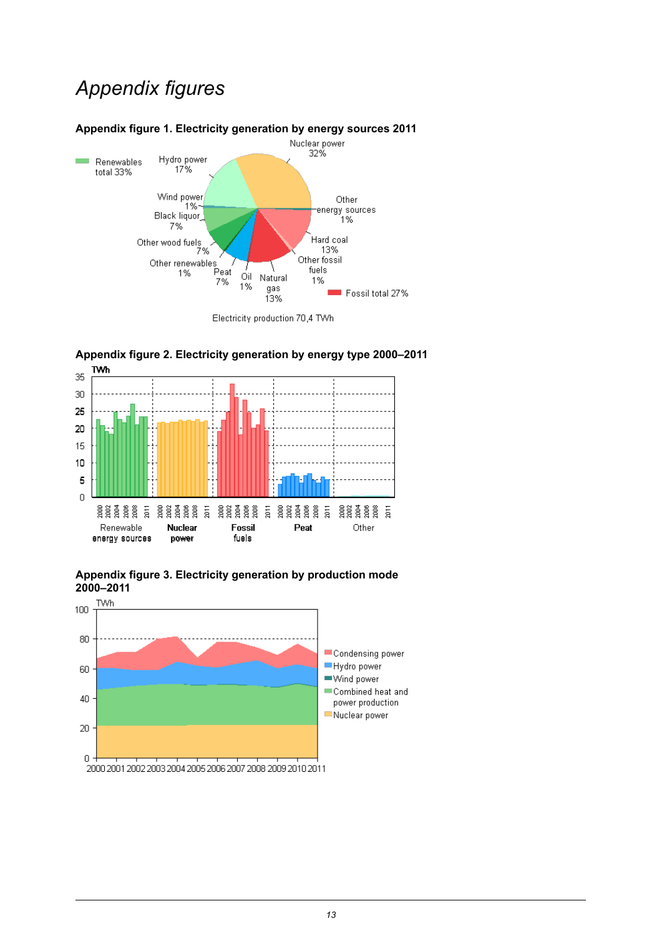## *Appendix figures*



### <span id="page-12-0"></span>**Appendix figure 1. Electricity generation by energy sources 2011**

<span id="page-12-1"></span>



<span id="page-12-2"></span>

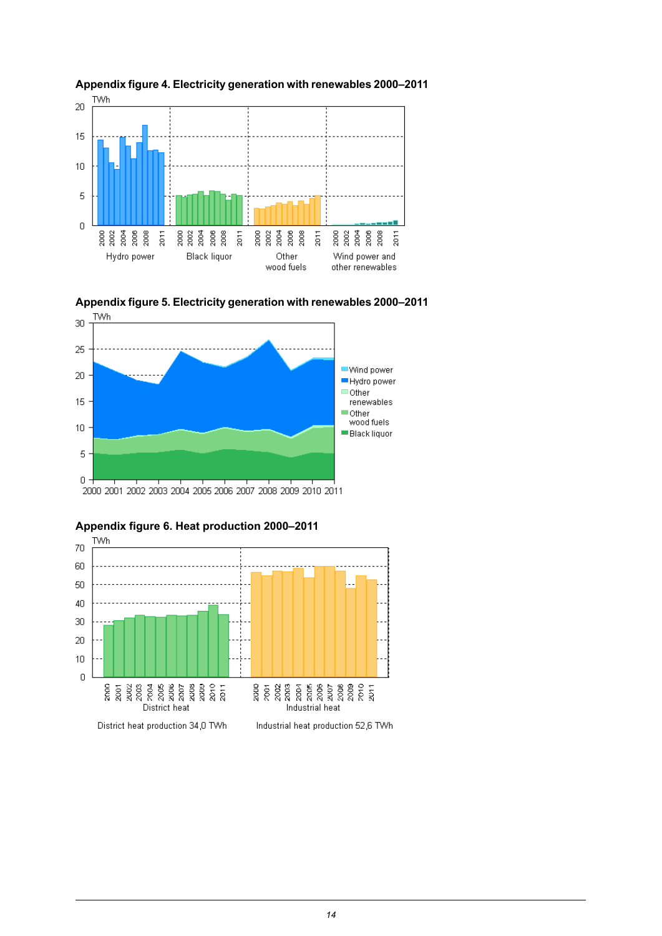

<span id="page-13-0"></span>

<span id="page-13-1"></span>





<span id="page-13-2"></span>**Appendix figure 6. Heat production 2000–2011**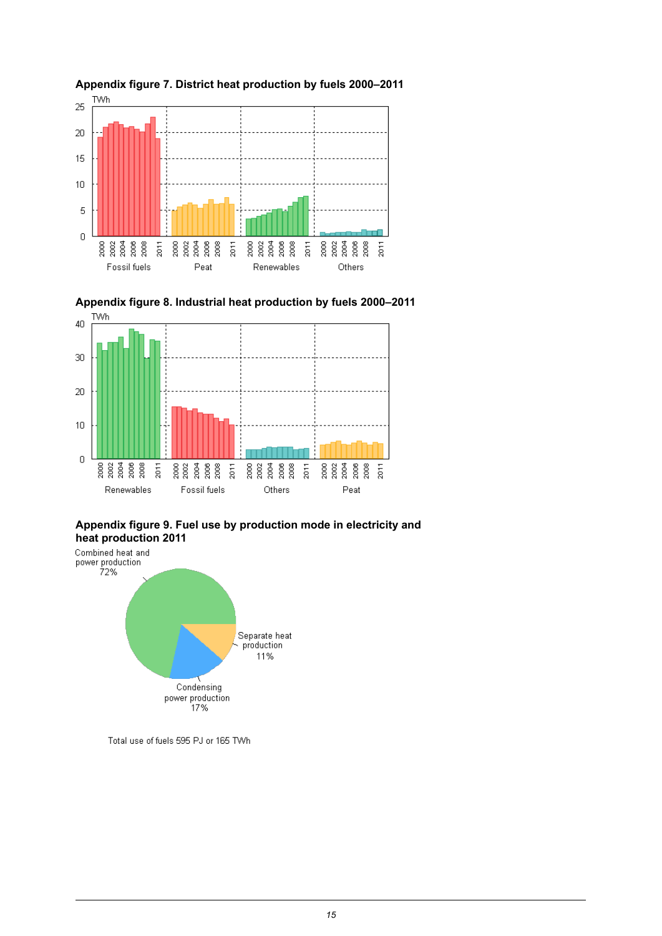

<span id="page-14-1"></span>

<span id="page-14-0"></span>

<span id="page-14-2"></span>**Appendix figure 9. Fuel use by production mode in electricity and**



Total use of fuels 595 PJ or 165 TWh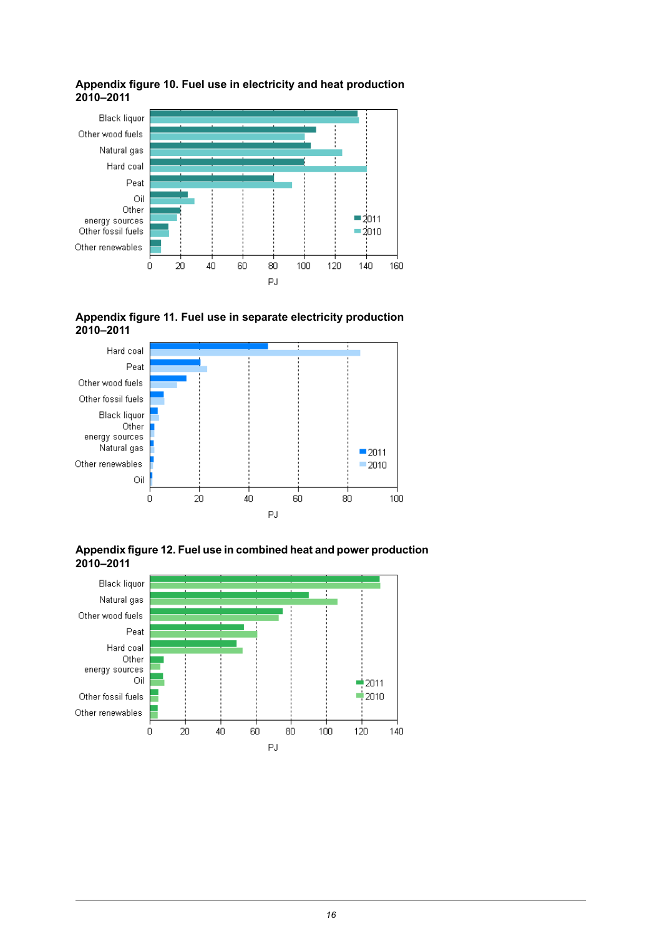

#### <span id="page-15-0"></span>**Appendix figure 10. Fuel use in electricity and heat production 2010–2011**

<span id="page-15-1"></span>



<span id="page-15-2"></span>**Appendixfigure12. Fuel usein combined heatand power production 2010–2011**

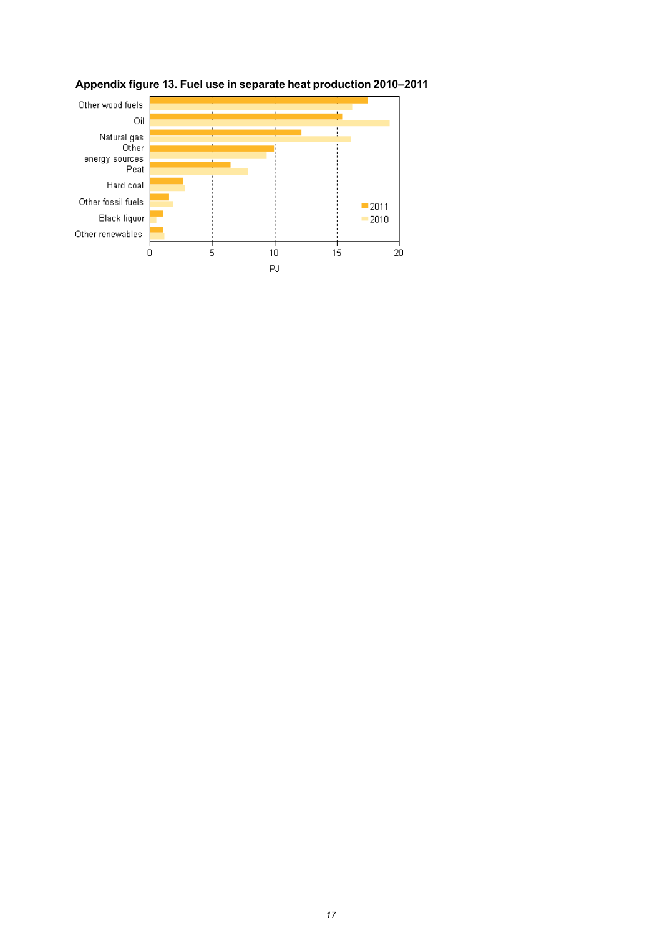

## <span id="page-16-0"></span>**Appendix figure 13. Fuel use in separate heat production 2010–2011**